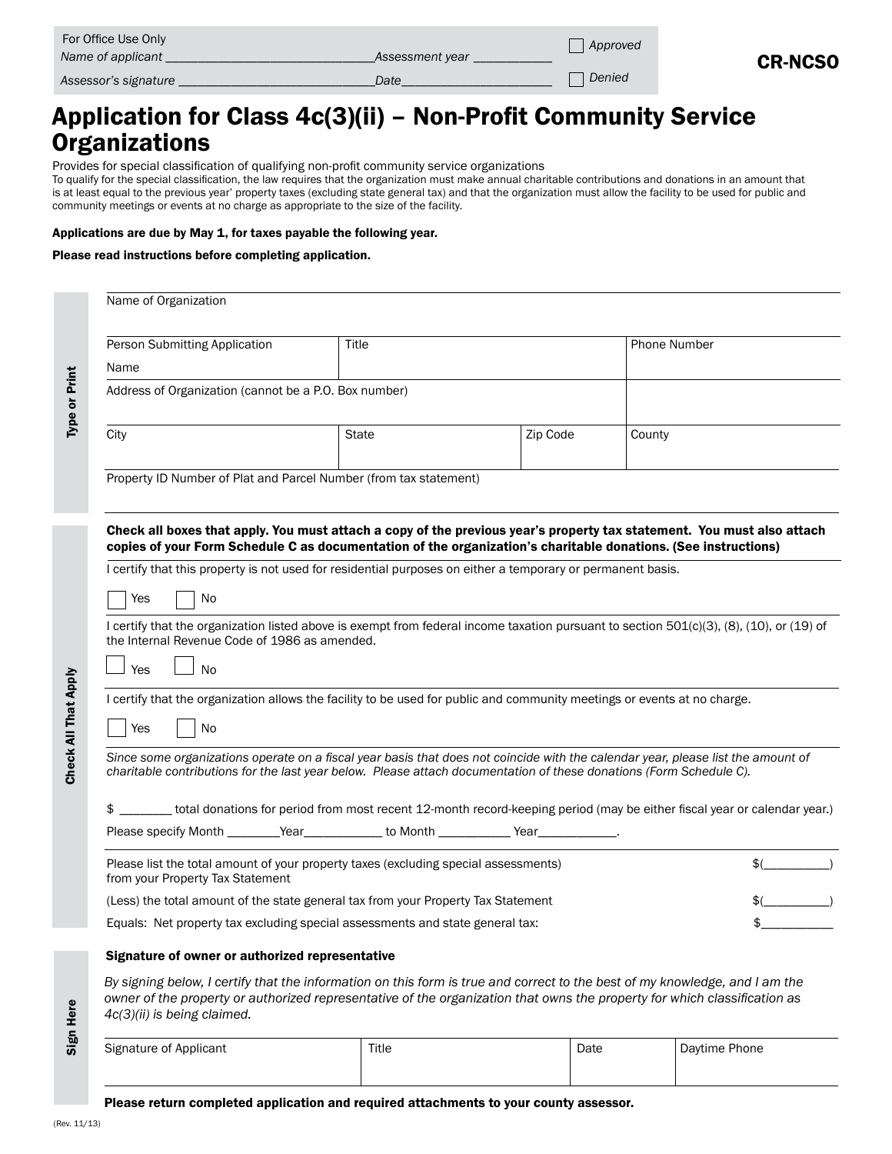| For Office Use Only<br>Name of applicant | Assessment year | Approved | <b>CR-NCSO</b> |
|------------------------------------------|-----------------|----------|----------------|
| Assessor's signature                     | Date            | Denied   |                |

# Application for Class 4c(3)(ii) – Non-Profit Community Service **Organizations**

Provides for special classification of qualifying non-profit community service organizations

To qualify for the special classification, the law requires that the organization must make annual charitable contributions and donations in an amount that is at least equal to the previous year' property taxes (excluding state general tax) and that the organization must allow the facility to be used for public and community meetings or events at no charge as appropriate to the size of the facility.

#### Applications are due by May 1, for taxes payable the following year.

#### Please read instructions before completing application.

| Name of Organization                                                                                                                                                                      |                                                                                                                                                                                                                                                                                                                                                                                     |                                                                                          |          |                                                                                                                                                                                                                                                          |  |  |  |  |
|-------------------------------------------------------------------------------------------------------------------------------------------------------------------------------------------|-------------------------------------------------------------------------------------------------------------------------------------------------------------------------------------------------------------------------------------------------------------------------------------------------------------------------------------------------------------------------------------|------------------------------------------------------------------------------------------|----------|----------------------------------------------------------------------------------------------------------------------------------------------------------------------------------------------------------------------------------------------------------|--|--|--|--|
| Person Submitting Application                                                                                                                                                             |                                                                                                                                                                                                                                                                                                                                                                                     | Title                                                                                    |          | Phone Number                                                                                                                                                                                                                                             |  |  |  |  |
| Name                                                                                                                                                                                      |                                                                                                                                                                                                                                                                                                                                                                                     |                                                                                          |          |                                                                                                                                                                                                                                                          |  |  |  |  |
|                                                                                                                                                                                           | Address of Organization (cannot be a P.O. Box number)                                                                                                                                                                                                                                                                                                                               |                                                                                          |          |                                                                                                                                                                                                                                                          |  |  |  |  |
| City                                                                                                                                                                                      |                                                                                                                                                                                                                                                                                                                                                                                     | <b>State</b>                                                                             | Zip Code | County                                                                                                                                                                                                                                                   |  |  |  |  |
|                                                                                                                                                                                           |                                                                                                                                                                                                                                                                                                                                                                                     | Property ID Number of Plat and Parcel Number (from tax statement)                        |          |                                                                                                                                                                                                                                                          |  |  |  |  |
|                                                                                                                                                                                           |                                                                                                                                                                                                                                                                                                                                                                                     |                                                                                          |          | Check all boxes that apply. You must attach a copy of the previous year's property tax statement. You must also attach<br>copies of your Form Schedule C as documentation of the organization's charitable donations. (See instructions)                 |  |  |  |  |
|                                                                                                                                                                                           | I certify that this property is not used for residential purposes on either a temporary or permanent basis.                                                                                                                                                                                                                                                                         |                                                                                          |          |                                                                                                                                                                                                                                                          |  |  |  |  |
| Yes                                                                                                                                                                                       | No                                                                                                                                                                                                                                                                                                                                                                                  |                                                                                          |          |                                                                                                                                                                                                                                                          |  |  |  |  |
| I certify that the organization listed above is exempt from federal income taxation pursuant to section 501(c)(3), (8), (10), or (19) of<br>the Internal Revenue Code of 1986 as amended. |                                                                                                                                                                                                                                                                                                                                                                                     |                                                                                          |          |                                                                                                                                                                                                                                                          |  |  |  |  |
| Yes<br><b>No</b>                                                                                                                                                                          |                                                                                                                                                                                                                                                                                                                                                                                     |                                                                                          |          |                                                                                                                                                                                                                                                          |  |  |  |  |
|                                                                                                                                                                                           | I certify that the organization allows the facility to be used for public and community meetings or events at no charge.                                                                                                                                                                                                                                                            |                                                                                          |          |                                                                                                                                                                                                                                                          |  |  |  |  |
| Yes                                                                                                                                                                                       | No                                                                                                                                                                                                                                                                                                                                                                                  |                                                                                          |          |                                                                                                                                                                                                                                                          |  |  |  |  |
| \$                                                                                                                                                                                        | Since some organizations operate on a fiscal year basis that does not coincide with the calendar year, please list the amount of<br>charitable contributions for the last year below. Please attach documentation of these donations (Form Schedule C).<br>total donations for period from most recent 12-month record-keeping period (may be either fiscal year or calendar year.) |                                                                                          |          |                                                                                                                                                                                                                                                          |  |  |  |  |
|                                                                                                                                                                                           |                                                                                                                                                                                                                                                                                                                                                                                     | Please specify Month _________Year______________ to Month ____________Year_____________. |          |                                                                                                                                                                                                                                                          |  |  |  |  |
| from your Property Tax Statement                                                                                                                                                          |                                                                                                                                                                                                                                                                                                                                                                                     | Please list the total amount of your property taxes (excluding special assessments)      |          | $\frac{1}{2}$ (                                                                                                                                                                                                                                          |  |  |  |  |
| (Less) the total amount of the state general tax from your Property Tax Statement                                                                                                         | <b>S</b> (2005)                                                                                                                                                                                                                                                                                                                                                                     |                                                                                          |          |                                                                                                                                                                                                                                                          |  |  |  |  |
|                                                                                                                                                                                           |                                                                                                                                                                                                                                                                                                                                                                                     | Equals: Net property tax excluding special assessments and state general tax:            |          |                                                                                                                                                                                                                                                          |  |  |  |  |
|                                                                                                                                                                                           | Signature of owner or authorized representative                                                                                                                                                                                                                                                                                                                                     |                                                                                          |          |                                                                                                                                                                                                                                                          |  |  |  |  |
| 4c(3)(ii) is being claimed.                                                                                                                                                               |                                                                                                                                                                                                                                                                                                                                                                                     |                                                                                          |          | By signing below, I certify that the information on this form is true and correct to the best of my knowledge, and I am the<br>owner of the property or authorized representative of the organization that owns the property for which classification as |  |  |  |  |
| Signature of Applicant                                                                                                                                                                    |                                                                                                                                                                                                                                                                                                                                                                                     | Title                                                                                    | Date     | Daytime Phone                                                                                                                                                                                                                                            |  |  |  |  |

| Signature of Applicant | Title | Date | Daytime Phone |
|------------------------|-------|------|---------------|
|                        |       |      |               |

Please return completed application and required attachments to your county assessor.